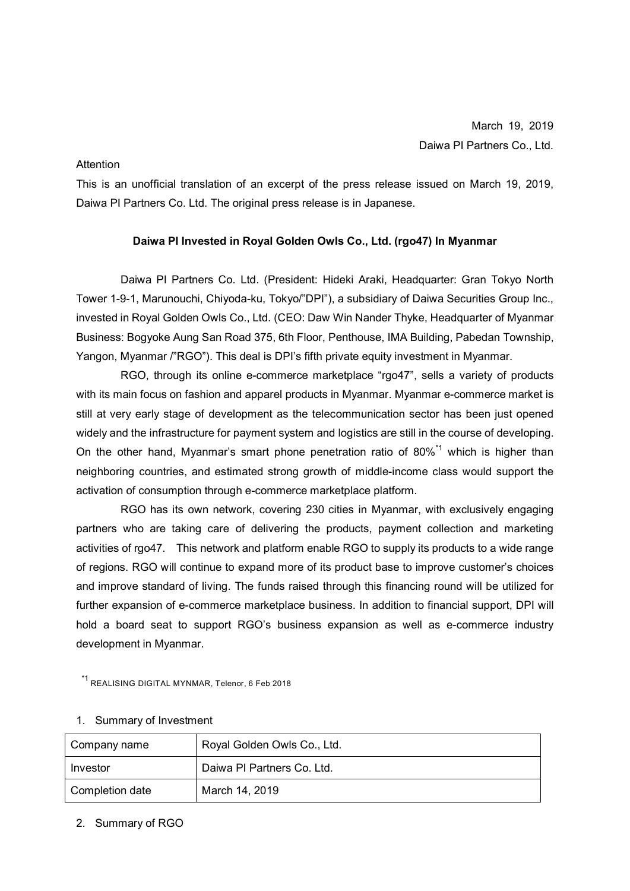## Attention

This is an unofficial translation of an excerpt of the press release issued on March 19, 2019, Daiwa PI Partners Co. Ltd. The original press release is in Japanese.

## **Daiwa PI Invested in Royal Golden Owls Co., Ltd. (rgo47) In Myanmar**

Daiwa PI Partners Co. Ltd. (President: Hideki Araki, Headquarter: Gran Tokyo North Tower 1-9-1, Marunouchi, Chiyoda-ku, Tokyo/"DPI"), a subsidiary of Daiwa Securities Group Inc., invested in Royal Golden Owls Co., Ltd. (CEO: Daw Win Nander Thyke, Headquarter of Myanmar Business: Bogyoke Aung San Road 375, 6th Floor, Penthouse, IMA Building, Pabedan Township, Yangon, Myanmar /"RGO"). This deal is DPI's fifth private equity investment in Myanmar.

RGO, through its online e-commerce marketplace "rgo47", sells a variety of products with its main focus on fashion and apparel products in Myanmar. Myanmar e-commerce market is still at very early stage of development as the telecommunication sector has been just opened widely and the infrastructure for payment system and logistics are still in the course of developing. On the other hand, Myanmar's smart phone penetration ratio of 80%<sup>\*1</sup> which is higher than neighboring countries, and estimated strong growth of middle-income class would support the activation of consumption through e-commerce marketplace platform.

RGO has its own network, covering 230 cities in Myanmar, with exclusively engaging partners who are taking care of delivering the products, payment collection and marketing activities of rgo47. This network and platform enable RGO to supply its products to a wide range of regions. RGO will continue to expand more of its product base to improve customer's choices and improve standard of living. The funds raised through this financing round will be utilized for further expansion of e-commerce marketplace business. In addition to financial support, DPI will hold a board seat to support RGO's business expansion as well as e-commerce industry development in Myanmar.

\*1 REALISING DIGITAL MYNMAR, Telenor, 6 Feb 2018

| Company name    | Royal Golden Owls Co., Ltd. |
|-----------------|-----------------------------|
| Investor        | Daiwa PI Partners Co. Ltd.  |
| Completion date | March 14, 2019              |

## 1. Summary of Investment

## 2. Summary of RGO